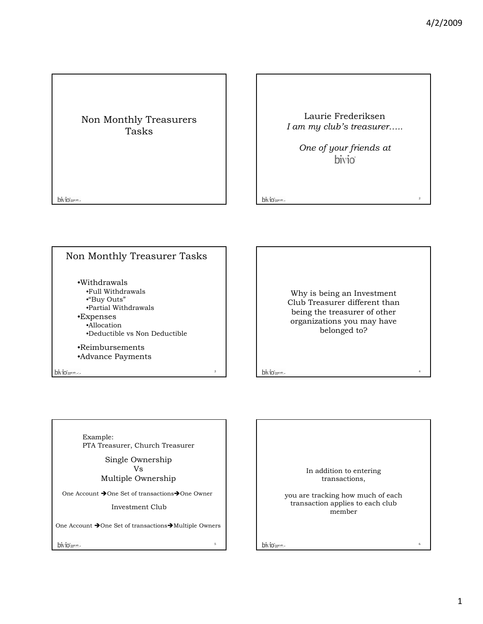$\overline{2}$ 

4

6

## Non Monthly Treasurers Tasks

Laurie Frederiksen *I am my club's treasurer…..*

> *One of your friends at* **bivio**

bivio-

bivio-

## Non Monthly Treasurer Tasks

•Withdrawals •Full Withdrawals •"Buy Outs" •Partial Withdrawals •Expenses •Allocation •Deductible vs Non Deductible

•Reimbursements

•Advance Payments

bivion-

Why is being an Investment Club Treasurer different than being the treasurer of other organizations you may have belonged to?

bivio men.

3

5

Example: PTA Treasurer, Church Treasurer

> Single Ownership Vs Multiple Ownership

One Account  $\rightarrow$  One Set of transactions $\rightarrow$  One Owner

Investment Club

One Account  $\rightarrow$  One Set of transactions $\rightarrow$  Multiple Owners

bivio men-



bivio men-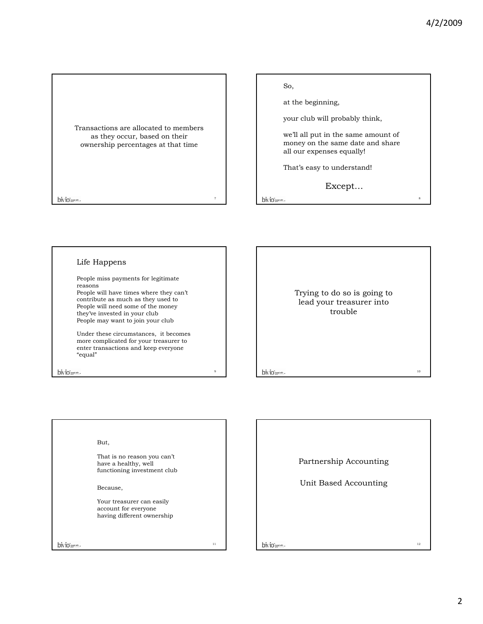8

10

12

Transactions are allocated to members as they occur, based on their ownership percentages at that time

bivio-

at the beginning,

your club will probably think,

we'll all put in the same amount of money on the same date and share all our expenses equally!

That's easy to understand!

Except…

bivio-

7

9

## Life Happens

People miss payments for legitimate reasons People will have times where they can't contribute as much as they used to People will need some of the money they've invested in your club People may want to join your club

Under these circumstances, it becomes more complicated for your treasurer to enter transactions and keep everyone "equal"

bivio prom-

Trying to do so is going to lead your treasurer into trouble

But,

That is no reason you can't have a healthy, well functioning investment club

Because,

Your treasurer can easily account for everyone having different ownership

bivio pres-

11

Partnership Accounting

Unit Based Accounting

bivio men-

bivio-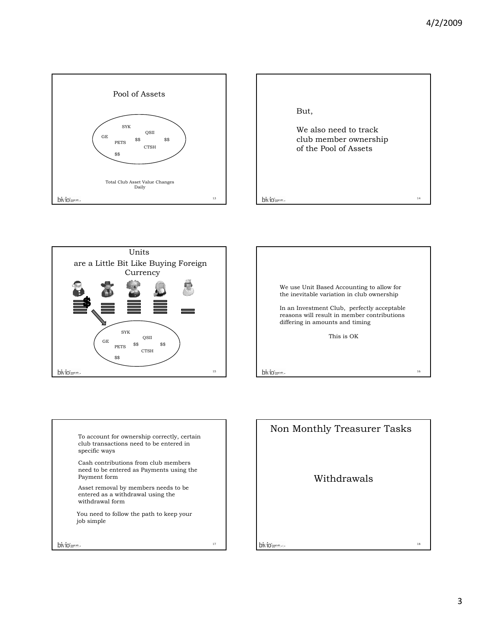







To account for ownership correctly, certain club transactions need to be entered in specific ways

Cash contributions from club members need to be entered as Payments using the Payment form

Asset removal by members needs to be entered as a withdrawal using the withdrawal form

You need to follow the path to keep your job simple

```
bivio .......
```
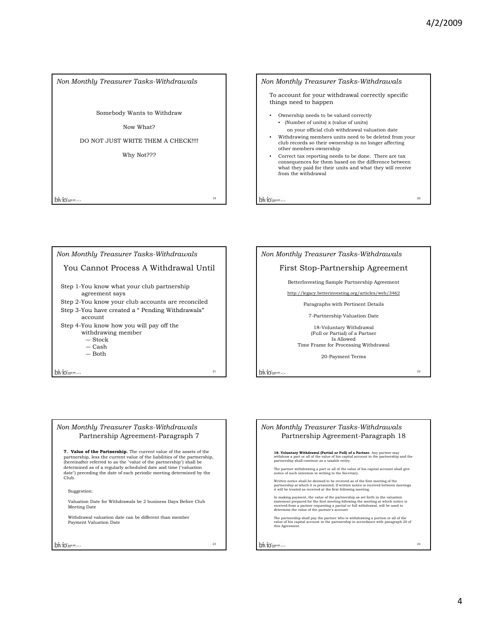## *Non Monthly Treasurer Tasks-Withdrawals*

Somebody Wants to Withdraw

Now What?

DO NOT JUST WRITE THEM A CHECK !!!!

Why Not???

19

23

bivio mente



| Non Monthly Treasurer Tasks-Withdrawals                                             |    |
|-------------------------------------------------------------------------------------|----|
| You Cannot Process A Withdrawal Until                                               |    |
| Step 1-You know what your club partnership<br>agreement says                        |    |
| Step 2-You know your club accounts are reconciled                                   |    |
| Step 3-You have created a "Pending Withdrawals"<br>account                          |    |
| Step 4-You know how you will pay off the<br>withdrawing member<br>— Stock<br>— Cash |    |
| — Both                                                                              |    |
|                                                                                     |    |
|                                                                                     | 21 |



bivio mento.

22



**7. Value of the Partnership.** The current value of the assets of the partnership, less the current value of the liabilities of the partnership, (hereinafter referred to as the "value of the partnership") shall be determined as of a regularly scheduled date and time ("valuation date") preceding the date of each periodic meeting determined by the Club.

Suggestion:

Valuation Date for Withdrawals be 2 business Days Before Club Meeting Date

Withdrawal valuation date can be different than member Payment Valuation Date

bivio menu

*Non Monthly Treasurer Tasks-Withdrawals* Partnership Agreement-Paragraph 18 **18. Voluntary Withdrawal (Partial or Full) of a Partner.** Any partner may withdraw a part or all of the value of his capital account in the partnership and the partnership shall continue as a taxable entity. The partner withdrawing a part or all of the value of his capital account shall give notice of such intention in writing to the Secretary. Written notice shall be deemed to be received as of the first meeting of the<br>partnership at which it is presented. If written notice is received between meetings<br>it will be treated as received at the first following meetin In making payment, the value of the partnership as set forth in the valuation<br>statement prepared for the first meeting following the meeting at which notice is<br>received from a partner requesting a partial or full withdrawa The partnership shall pay the partner who is withdrawing a portion or all of the value of his capital account in the partnership in accordance with paragraph 20 of this Agreement. 24bivio<sub>nne</sub>...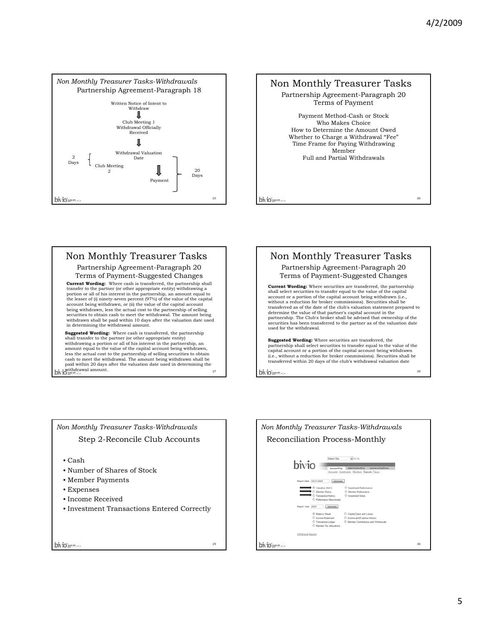





account being withdrawn, or (ii) the value of the capital account being withdrawn, less the actual cost to the partnership of selling securities to obtain cash to meet the withdrawal. The amount being withdrawn shall be paid within 10 days after the valuation date used in determining the withdrawal amount. **Suggested Wording:** Where cash is transferred, the partnership

shall transfer to the partner (or other appropriate entity) withdrawing a portion or all of his interest in the partnership, an amount equal to the value of the capital account being withdrawn, less the actual cost to the partnership of selling securities to obtain cash to meet the withdrawal. The amount being withdrawn shall be paid within 20 days after the valuation date used in determining the  $\frac{1}{27}$  withdrawal amount.



*Non Monthly Treasurer Tasks-Withdrawals* Step 2-Reconcile Club Accounts

• Cash

- Number of Shares of Stock
- Member Payments
- Expenses
- Income Received
- Investment Transactions Entered Correctly

```
bivio menu
```
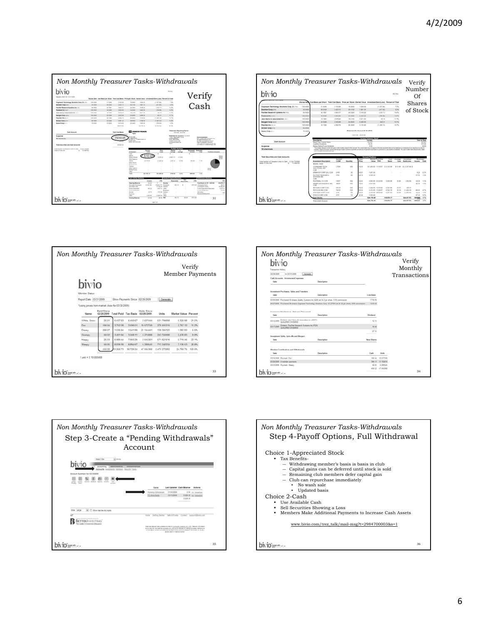| hivio<br>Valuation PAID for 12/21/2008                                                                                                      |                |                 |                         | Stores Held, Cost Basis per Stare, Total Cost Basis, Price per Stare, Market Value, Universited Services / Persent of Total |                           |                            | <b>Mill Miles</b>                                                |                                                          | Verify<br>Cash |                                                                       |                                                                    |                                        |
|---------------------------------------------------------------------------------------------------------------------------------------------|----------------|-----------------|-------------------------|-----------------------------------------------------------------------------------------------------------------------------|---------------------------|----------------------------|------------------------------------------------------------------|----------------------------------------------------------|----------------|-----------------------------------------------------------------------|--------------------------------------------------------------------|----------------------------------------|
| Engnished Technology Solutions Earp. (5 crisis                                                                                              | 100 MWH        | <b>SYLKOM</b>   | 3.103.95                | 18.0600                                                                                                                     | 1.806.90                  | <b>J1 857 951</b>          | -<br>P IAL                                                       |                                                          |                |                                                                       |                                                                    |                                        |
| <b>Banahar Earp (III)</b>                                                                                                                   | <b>M. MARI</b> | 69.2529         | 2,423.93                | 56.6100                                                                                                                     | 1.961.35                  | (441.80)                   | 6.0%                                                             |                                                          |                |                                                                       |                                                                    |                                        |
| Factbat Research Business Inc.////                                                                                                          | <b>AD DODG</b> | 45,7421         | 3.063.37                | AH 2400                                                                                                                     | 3.530.20                  | 1934.971                   | 14.2%                                                            |                                                          |                |                                                                       |                                                                    |                                        |
| Festanal Co. Full                                                                                                                           | 100 3000       | <b>SE RAFIE</b> | 3,454,96                | Tel 8500                                                                                                                    | 3,455.00                  | (196.90)                   | <b>GON</b>                                                       |                                                          |                |                                                                       |                                                                    |                                        |
| Jack Hanny 6, Essentiates Inc., corr.                                                                                                       | 150-5000       | 18 1941         | 2.578.40                | 19.4100                                                                                                                     | 2 811.50                  | 32.10                      | 11.7%                                                            |                                                          |                |                                                                       |                                                                    |                                        |
| <b>Neopen Dara (400)</b>                                                                                                                    | 150, MAR       | 25.5296         | 3 mill like             | TH MAY                                                                                                                      | 2,496.30                  | auti Avi                   | 10.1%                                                            |                                                          |                |                                                                       |                                                                    |                                        |
| <b>Facebook Inc. June</b>                                                                                                                   | 120-3000       | to race         | 4,562.76                | 26,2500                                                                                                                     | <b>STARBO</b>             | (1,426.18)                 | 12.7%                                                            |                                                          |                |                                                                       |                                                                    |                                        |
| <b>Bryaar Corp.com</b>                                                                                                                      | 80,0000        | 43.6429         | 5,091.43                | 36 8500                                                                                                                     | 5, 194, 50                | (1, 0.05, 4.7)             | 12.9%                                                            |                                                          |                |                                                                       |                                                                    |                                        |
| <b>Nees darp</b> are:                                                                                                                       | <b>PS 5000</b> | 33 8229         | 2.374.60                | 22 8400                                                                                                                     | 1.805.80                  | (768.80)                   | 6.5%                                                             |                                                          |                |                                                                       |                                                                    |                                        |
|                                                                                                                                             |                |                 | 29.914.69               |                                                                                                                             | De 176 añ                 | (5.740.04)                 | \$7.1%                                                           |                                                          |                |                                                                       |                                                                    |                                        |
| Cash Assount                                                                                                                                |                |                 | <b>Total Cost Basis</b> | <b>ED AMERITRADE</b><br><b>Bakes</b>                                                                                        |                           |                            |                                                                  | <b>Statement Reporting Period:</b><br><b>OSIGE</b> GISES |                |                                                                       |                                                                    |                                        |
| Suspense                                                                                                                                    |                |                 |                         |                                                                                                                             |                           |                            |                                                                  | Statement for Associat # 121-2370                        |                | Ennouncements                                                         |                                                                    |                                        |
|                                                                                                                                             |                |                 | 510.65                  | <b>COLLEGE</b><br><b>ARRIVERS</b><br>tache or To explaintance and                                                           |                           |                            | aring males seats.                                               | Aug. Buttone but                                         |                | to instruments south also                                             | <b>MSL DIER VOLK D.S. AND TO A</b>                                 |                                        |
|                                                                                                                                             |                |                 | 38,593,42               | <b><i><u>STARTE STAR</u></i></b><br>classica, MI 64101-2256                                                                 |                           |                            | a special cardial card.<br><b>DETAILERED PORTAL ART</b><br>ence. |                                                          |                | and make radioances and decided.<br><b>FRIDA BETWEENERG' CHRYSLER</b> | USE A Monitorial of Viscolarship<br>but work of these entered con- |                                        |
| ×<br>no castros                                                                                                                             |                |                 |                         |                                                                                                                             | <b>Current</b>            | $rac{1}{2}$                | Parties                                                          |                                                          | ---            |                                                                       |                                                                    |                                        |
|                                                                                                                                             |                |                 |                         | <b>Insurance</b><br><b>Cardo</b>                                                                                            | <b>Total</b>              | Value<br>×                 | <b>Sharge</b><br>x                                               | <b>Change</b>                                            | <b>Income</b>  | <b>Vald</b>                                                           | <b>Purifula Alumina</b>                                            |                                        |
|                                                                                                                                             |                |                 |                         | secu.                                                                                                                       | 610.6                     |                            |                                                                  |                                                          |                |                                                                       |                                                                    | hitcher<br><b>SALE</b>                 |
|                                                                                                                                             |                |                 |                         | <b>Manay Market</b><br><b><i><u>Stock Ballance</u></i></b>                                                                  |                           | 9.255.62                   | <b>CLIME IDV</b>                                                 | <b>PT AVA</b>                                            |                |                                                                       |                                                                    |                                        |
|                                                                                                                                             |                |                 |                         | <b>Stocks</b>                                                                                                               | 24,176.45                 | 21.836.30                  | 2,350.25                                                         | 13.0%                                                    | <b>ATALIA</b>  | 179                                                                   |                                                                    |                                        |
|                                                                                                                                             |                |                 |                         | <b>Stout Stocks</b><br>Fax: Income                                                                                          | ×<br>٠                    | ×<br>٠                     | ٠                                                                | ×<br>٠                                                   | ×              | ×<br>٠                                                                |                                                                    |                                        |
|                                                                                                                                             |                |                 |                         | Options                                                                                                                     |                           | ٠                          | ٠                                                                |                                                          |                | ٠                                                                     |                                                                    |                                        |
|                                                                                                                                             |                |                 |                         | Short Options<br>Mutual Pands                                                                                               |                           |                            | ٠<br>$\sim$                                                      |                                                          |                | ×<br>$\sim$                                                           | $\frac{1}{n}$                                                      |                                        |
|                                                                                                                                             |                |                 |                         | Office                                                                                                                      |                           |                            |                                                                  |                                                          |                |                                                                       |                                                                    |                                        |
|                                                                                                                                             |                |                 |                         | <b>Sand</b>                                                                                                                 | 60n. Fell 40              | 621,080.00                 | 6706.08                                                          | 6.9%                                                     | 5404.80        | s.av                                                                  |                                                                    | 25, 55%                                |
|                                                                                                                                             |                |                 |                         | <b>Cash Activity Summers</b>                                                                                                |                           | -                          | <b>Sounded &amp; Expertise Researchy</b>                         |                                                          |                | <b>Parliamento Summers</b>                                            |                                                                    |                                        |
|                                                                                                                                             |                |                 |                         |                                                                                                                             | Games                     | 192<br>≂                   | Reportable<br><b><i><u>bureate</u></i></b>                       | Reporters                                                | <b>VSI</b>     |                                                                       |                                                                    |                                        |
|                                                                                                                                             |                |                 |                         | <b>Opening Balance</b><br><b>Securities Purchased</b>                                                                       | \$4.00<br>(2.052.90)      | (10.431.77) Dealersh       |                                                                  | 652.72<br>$\bar{u}$<br>$\sim$                            |                | \$572.00 Unusiant Gara                                                | Cear Basis As Of - 1201104                                         |                                        |
|                                                                                                                                             |                |                 |                         | Securities Suit                                                                                                             | ×                         | 15,742.00 billeted         |                                                                  | <b>Card</b><br>$\sim$                                    |                | <b>UnautoxCurrent</b>                                                 |                                                                    |                                        |
|                                                                                                                                             |                |                 |                         | Funds Deposited<br>Funds Debursed                                                                                           | 558.22<br><b>Contract</b> | A 417 TO 17840             | Expense                                                          | $\sim$<br>$\sim$                                         |                | Income (Expense)                                                      | Funds Deposited Childrened                                         |                                        |
|                                                                                                                                             |                |                 |                         | <b>Income</b>                                                                                                               | 42.72                     | 673 III Interest           |                                                                  | ٠<br>٠                                                   |                | <b>Tues uniform</b>                                                   |                                                                    |                                        |
| <b>TO America de</b><br>Total Securities and Cash Rocounts<br>Total Number of Valuation Units to Date 2, 344 701898<br>Viature of Cine Unit |                |                 |                         | Expense<br>Other                                                                                                            | 1,652.00                  | Form.<br>13,000 Feb. Colum |                                                                  | ×<br>$\sim$                                              | ٠              | Received Club                                                         |                                                                    | \$18.576.17<br>(4,942.5m)<br>A 417 111 |

| Non Monthly Treasurer Tasks-Withdrawals                                      |                    |                                                                                                                                                                                                                                                                                                                                                                                                                                                                                                         |                 |                 |                                   |                                   |                         |                                  |                  |                                    | Verify<br>Number         |                                                                                         |
|------------------------------------------------------------------------------|--------------------|---------------------------------------------------------------------------------------------------------------------------------------------------------------------------------------------------------------------------------------------------------------------------------------------------------------------------------------------------------------------------------------------------------------------------------------------------------------------------------------------------------|-----------------|-----------------|-----------------------------------|-----------------------------------|-------------------------|----------------------------------|------------------|------------------------------------|--------------------------|-----------------------------------------------------------------------------------------|
| bivio                                                                        |                    |                                                                                                                                                                                                                                                                                                                                                                                                                                                                                                         |                 |                 |                                   |                                   |                         |                                  | Hi Ho            |                                    | Ωf                       |                                                                                         |
|                                                                              | <b>Shares Inc.</b> | Cost Basis per Share Total Cost Bosis Price per Share Market Value Unrealized GaintLoss) Percent of Total                                                                                                                                                                                                                                                                                                                                                                                               |                 |                 |                                   |                                   |                         |                                  |                  |                                    | Shares                   |                                                                                         |
| Cognizant Technology Solutions Corp. Cl (714)                                | 100 0000           | 31,6308                                                                                                                                                                                                                                                                                                                                                                                                                                                                                                 | 3.163.98        | 18,0000         | 1.806.00                          |                                   | (1.357.95)              |                                  | 7.3%             |                                    |                          |                                                                                         |
| <b>Danaher Corp.com</b>                                                      | 55,0000            | 69.2329                                                                                                                                                                                                                                                                                                                                                                                                                                                                                                 | 2,423.15        | 56,6100         | 1.981.35                          |                                   | (441,80)                |                                  | 6.0%             |                                    | of Stock                 |                                                                                         |
| Factbet Research Systems Inc./Co.                                            | \$5,0000           | 45.7021                                                                                                                                                                                                                                                                                                                                                                                                                                                                                                 | 5.663.57        | 44,2400         | 3.530.20                          |                                   | (124 17)                |                                  | 14.2%            |                                    |                          |                                                                                         |
| Fastenal Co. num.                                                            | 100,0000           | <b>36.8406</b>                                                                                                                                                                                                                                                                                                                                                                                                                                                                                          | <b>5.654.99</b> | <b>54,6500</b>  | 3.455.00                          |                                   | (1999-99)               |                                  | 14.0%            |                                    |                          |                                                                                         |
| Jack Henry & Associates Inc.com                                              | 150 0000           | 19.1963                                                                                                                                                                                                                                                                                                                                                                                                                                                                                                 | 2.679.43        | 19.4100         | 2.911.50                          |                                   | 32.10                   |                                  | 11.7%            |                                    |                          |                                                                                         |
| Neogen Corp.neog.                                                            | 100 0000           | 20.5299                                                                                                                                                                                                                                                                                                                                                                                                                                                                                                 | 2.052.99        | 24 9800         | 2,496.00                          |                                   | 445.01                  |                                  | 10.1%            |                                    |                          |                                                                                         |
| <b>Paydhee Inc. June</b>                                                     | 120-0000           | <b>58,5888</b>                                                                                                                                                                                                                                                                                                                                                                                                                                                                                          | 4,582.79        | 24,2500         | 3.155.65                          |                                   | (1.429.18)              |                                  | 12.7%            |                                    |                          |                                                                                         |
| <b>Birchar Corp.(6)</b>                                                      | 80,0000            |                                                                                                                                                                                                                                                                                                                                                                                                                                                                                                         |                 |                 |                                   |                                   |                         |                                  |                  |                                    |                          |                                                                                         |
| <b>Syson Corp.com</b>                                                        | 70-3000            |                                                                                                                                                                                                                                                                                                                                                                                                                                                                                                         |                 |                 | Statement for Account # 120-65678 |                                   |                         |                                  |                  |                                    |                          |                                                                                         |
| Suspense                                                                     |                    |                                                                                                                                                                                                                                                                                                                                                                                                                                                                                                         |                 |                 |                                   | 52.65                             |                         |                                  |                  |                                    |                          |                                                                                         |
| TO America ade                                                               |                    | Money Market Fund Dividends<br>This section displays current and your to date facultar values for this account. The current intak may not equal to the listal approach island on this statement as complicious to be manifest than aborting may also far<br>included. These conscious can include changes made to previous countered and remove at playments reportation a previous for year includes doctorols. The year to date trials with countable reflective<br>and culturally around by the year |                 |                 |                                   | 4.60                              |                         |                                  |                  |                                    |                          |                                                                                         |
| Total Securities and Cash Accounts                                           |                    |                                                                                                                                                                                                                                                                                                                                                                                                                                                                                                         | Sunday          |                 | --<br><b>CALLS</b>                | of Presidents                     |                         | <b>Tase</b>                      |                  | <b>Unrealized</b>                  | Estimated                |                                                                                         |
| 2.344.700809<br>10.044795<br>s                                               |                    | <b>Investment Description</b><br>Stocks - Cash                                                                                                                                                                                                                                                                                                                                                                                                                                                          | CUSH            | <b>Ovaretty</b> | Price                             | Value.                            | Market Purchase<br>Gate | Basis                            | Average<br>Cost. | GaintLess3                         | buone.                   |                                                                                         |
|                                                                              |                    | COONZANT TECH<br>SOLUTIONS ORF<br>COM                                                                                                                                                                                                                                                                                                                                                                                                                                                                   | CTSH            | 100             | 16.05                             |                                   |                         | \$1,800.00 TV16/ST \$3,163.98    |                  | \$31.64 \$11.357.90.5              |                          |                                                                                         |
|                                                                              |                    | DANNHER CORP DEL COM                                                                                                                                                                                                                                                                                                                                                                                                                                                                                    | Drok.           | 35              | 56.61                             | 1,901.35                          |                         |                                  |                  |                                    | 4.20                     |                                                                                         |
|                                                                              |                    | EACTMET RESEARCH<br>SYSTEMS INC.<br>COM                                                                                                                                                                                                                                                                                                                                                                                                                                                                 | FDS             | kb              | 44.24                             | 3.539.29                          |                         |                                  |                  |                                    | \$7.80                   |                                                                                         |
|                                                                              |                    | <b>EASTENAL CO-COM</b>                                                                                                                                                                                                                                                                                                                                                                                                                                                                                  | FAST            | 100             | 34.85                             | 3.405.00 012516                   |                         | 3,054.96                         | 36.85            | (199.99)                           | 54.00                    |                                                                                         |
|                                                                              |                    | HENRY JACK &ASSOC INC.<br>COM                                                                                                                                                                                                                                                                                                                                                                                                                                                                           | <b>JOYS</b>     | 153             | 19.41                             | 2.911.53                          |                         |                                  |                  |                                    | 41.00                    |                                                                                         |
|                                                                              |                    | NEOGEN CORP COM                                                                                                                                                                                                                                                                                                                                                                                                                                                                                         | MIOS            | 100             | 34.98                             | 2,456.03 1310/06                  |                         | 2,052.96                         | 20.53            | 445.01                             |                          |                                                                                         |
|                                                                              |                    | PAYCHEX INC COM                                                                                                                                                                                                                                                                                                                                                                                                                                                                                         | PAYS            | 129             | 26.26                             | 3.453.60 1120-07                  |                         | 4,582.78                         | 36.99            | (1.429.58)                         | 148.00                   |                                                                                         |
|                                                                              |                    | STRYKER CORP COM                                                                                                                                                                                                                                                                                                                                                                                                                                                                                        | <b>SYK</b>      | 10              | 39.95                             | 3,195.03 04:24:08                 |                         | 5,001.43                         | 43.64            | (1,895.43)                         | 32.00                    |                                                                                         |
|                                                                              |                    | SYSCO CORP COM                                                                                                                                                                                                                                                                                                                                                                                                                                                                                          | SVV             | 39              | 22:04                             | 1,605.80                          |                         |                                  |                  |                                    | 67.20                    | 571.53<br>80.69<br><b>Yield</b><br>0.2%<br>1.6%<br>1.5%<br>1.5%<br>4.7%<br>1.0%<br>4.2% |
| Total Humber of Valuation Units to Oate<br>Value of One Unit<br>DIVIO metals |                    | <b><i>utal Stocks</i></b><br><b>Tetal Cash Account</b>                                                                                                                                                                                                                                                                                                                                                                                                                                                  |                 |                 |                                   | \$24,176.45<br><b>\$24,576.48</b> |                         | \$18,576.17<br><b>B18,876.17</b> |                  | <b>SIA AST 57:</b><br>\$14,437,870 | \$415.40<br><b>MILES</b> | 1.7%<br>3.7%                                                                            |

|                                                  |                                 |                      |           |                                  |              | Member Payments      | Verify |
|--------------------------------------------------|---------------------------------|----------------------|-----------|----------------------------------|--------------|----------------------|--------|
| bivio                                            |                                 |                      |           |                                  |              |                      |        |
| Member Status                                    |                                 |                      |           |                                  |              |                      |        |
| Report Date: 03/31/2009                          |                                 |                      |           | Show Payments Since: 02/28/2009  | Generate     |                      |        |
| "/using prices from market close for 03/30/2009) |                                 |                      |           |                                  |              |                      |        |
| Name                                             | <b>Paid Since</b><br>02/28/2009 | Total Paid Tax Basis |           | <b>Heirs Since</b><br>02/28/2009 | Units        | Market Value Percent |        |
| White, Snow                                      | 25.01                           | 6,437.83             | 6.450.67  | 2 637444                         | 531.796698   | 5.320.98             | 21.5%  |
| Doc                                              | 100.04                          | 3.752.38             | 3.590.51  | 10.572749                        | 276.555315   | 2.767.12             | 11.2%  |
| Dopey                                            | 200.07                          | 1.635.84             | 1.541.99  | 21.14441                         | 138 305123   | 1,383.83             | 5.6%   |
| Grumpy                                           | 50.02                           | 3.401.94             | 3,248.11  | 5.274888                         | 243.745006   | 2,438.83             | 9.8%   |
| Happy                                            | 25.03                           | 6.989.44             | 7.003.29  | 2 645301                         | 571.621616   | 5.719.46             | 23.1%  |
| Sleepy                                           | 50.05                           | 8.839.30             | 8.894.67  | 5.289545                         | 713 248334   | 7.136.53             | 28.8%  |
|                                                  | 450.22                          | 1.056.73             | 30,729.24 | 47.564368                        | 2.475.272092 | 24.766.75            | 100.0% |
| $1$ unit = $5$ 10.005668                         |                                 |                      |           |                                  |              |                      |        |





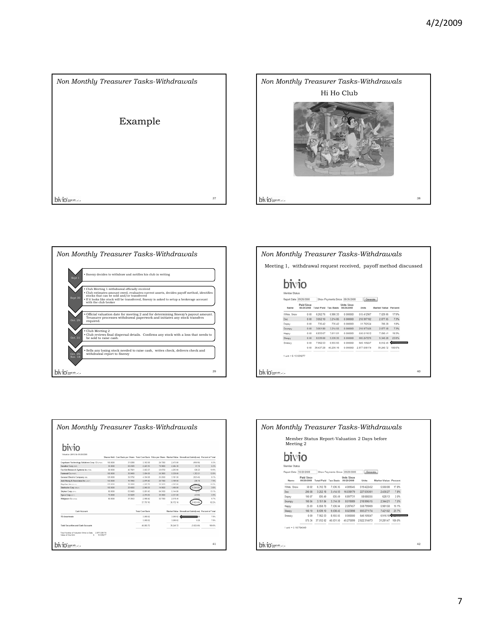



| Non Monthly Treasurer Tasks-Withdrawals                                                                                                                                                                                                                                                                                      |  |
|------------------------------------------------------------------------------------------------------------------------------------------------------------------------------------------------------------------------------------------------------------------------------------------------------------------------------|--|
| · Sneezy decides to withdraw and notifies his club in writing<br>Sept:                                                                                                                                                                                                                                                       |  |
| · Club Meeting 1-withdrawal officially received<br>• Club estimates amount owed, evaluates current assets, decides payoff method, identifies<br>stocks that can be sold and/or transferred<br>Sept 30<br>• If it looks like stock will be transferred. Sneezy is asked to setup a brokerage account<br>with the club broker. |  |
| . Official valuation date for meeting 2 and for determining Sneezy's payout amount.<br>Treasurer processes withdrawal paperwork and initiates any stock transfers<br>Oct. 29<br>required.                                                                                                                                    |  |
| • Club Meeting 2<br>. Club reviews final dispersal details. Confirms any stock with a loss that needs to<br>Oct. 31<br>be sold to raise cash.                                                                                                                                                                                |  |
| · Sells any losing stock needed to raise cash, writes check, delivers check and<br>withdrawal report to Sneezy<br>Oct 29-<br>Nov. 18                                                                                                                                                                                         |  |
| 39                                                                                                                                                                                                                                                                                                                           |  |

| Non Monthly Treasurer Tasks-Withdrawals |                                          |                                 |                             |           |                                  |              |                             |        | Meeting 1, withdrawal request received, payoff method discussed |
|-----------------------------------------|------------------------------------------|---------------------------------|-----------------------------|-----------|----------------------------------|--------------|-----------------------------|--------|-----------------------------------------------------------------|
|                                         | bivio                                    |                                 |                             |           |                                  |              |                             |        |                                                                 |
|                                         | Member Status<br>Report Date: 09/26/2008 |                                 |                             |           | Show Payments Since: 08/26/2008  | Generate.    |                             |        |                                                                 |
|                                         | Name                                     | <b>Paid Since</b><br>08/26/2008 | <b>Total Paid Tax Basis</b> |           | <b>Units Since</b><br>08/26/2008 | Units        | <b>Market Value Percent</b> |        |                                                                 |
|                                         | White, Snow                              | 0.00                            | 6, 262. 76                  | 6,986.33  | 0.000000                         | 515 412907   | 7.029.86                    | 17.9%  |                                                                 |
|                                         | Doc                                      | 0.00                            | 3.052.10                    | 3.214.85  | 0.000000                         | 210 997182   | 2 877 85                    | 7.3%   |                                                                 |
|                                         | Dopey                                    | 0.00                            | 735.42                      | 735.42    | 0.000000                         | 51.782524    | 706.28                      | 1.8%   |                                                                 |
|                                         | Grumpy                                   | 0.00                            | 3.051.80                    | 3.214.66  | 0.000000                         | 210.977426   | 2 877 58                    | 7.3%   |                                                                 |
|                                         | Hacov                                    | 0.00                            | 6.833.67                    | 7.611.01  | 0.000000                         | 556.511612   | 7.590.41                    | 19.3%  |                                                                 |
|                                         | Sleepy                                   | 0.00                            | 8.539.00                    | 9.538.35  | 0.000000                         | 685 247276   | 9.346.28                    | 23.8%  |                                                                 |
|                                         | Sneezy                                   | 0.00                            | 7.962.53                    | 8.955.65  | 0.000000                         | 646.109247   | 8 812 46                    |        |                                                                 |
|                                         |                                          | 0.00                            | 36.437.28                   | 40.256.16 | 0.000000                         | 2.877.038174 | 39, 240. 72                 | 100.0% |                                                                 |
|                                         | 1 unit = \$ 13.639277                    |                                 |                             |           |                                  |              |                             |        |                                                                 |
| $DIV1O$ install $\ldots$                |                                          |                                 |                             |           |                                  |              |                             |        | 40                                                              |

| Non Monthly Treasurer Tasks-Withdrawals                                                        |          |         |                  |         |             |                                                                                                                        |        |
|------------------------------------------------------------------------------------------------|----------|---------|------------------|---------|-------------|------------------------------------------------------------------------------------------------------------------------|--------|
|                                                                                                |          |         |                  |         |             |                                                                                                                        |        |
|                                                                                                |          |         |                  |         |             |                                                                                                                        |        |
|                                                                                                |          |         |                  |         |             |                                                                                                                        |        |
| hivio                                                                                          |          |         |                  |         |             |                                                                                                                        |        |
|                                                                                                |          |         |                  |         |             |                                                                                                                        |        |
| Valuation (NAV) for 09/26/2008                                                                 |          |         |                  |         |             |                                                                                                                        |        |
|                                                                                                |          |         |                  |         |             | Shares Held Cost Basis per Share Total Cost Basis Price per Share Market Value Unrealized Gain/ILossi Percent of Total |        |
| Cognizant Technology Solutions Corp. Cl chose                                                  | 100,0000 | 31,6398 | 3 163 98         | 24,7300 | 2,473.00    | (690.98)                                                                                                               | 6.3%   |
| Danaher Corp (CHR)                                                                             | 35,0000  | 69 2329 | 2.423.15         | 70,9800 | 2,484.30    | 61.15                                                                                                                  | 6.3%   |
| FactSet Research Systems Inc ros:                                                              | 80,0000  | 45 7921 | 3.663.37         | 53 6700 | 4.293.60    | 630.23                                                                                                                 | 10.9%  |
| Fastenal Co FASTI                                                                              | 100,0000 | 36 R499 | 3 684 99         | 50.3800 | 5.038.00    | 1.353.01                                                                                                               | 12.8%  |
| General Electric Company (68)                                                                  | 126,0000 | 32,5792 | 4.104.98         | 25.2500 | 3 181 50    | (923.48)                                                                                                               | 8.1%   |
| Jack Henry & Associates Inc unen                                                               | 150,0000 | 19 1950 | 2.879.40         | 20.7300 | 3 109.50    | 230.10                                                                                                                 | 7.9%   |
| Paychex Inc. PAYS:                                                                             | 120,0000 | 38 1898 | 4 582 78         | 33.3500 | 4.002.00    | 580.78                                                                                                                 | 10.2%  |
| Starbucks Corp (seuso)                                                                         | 100 0000 | 28,4000 | 2 840 00         | 14 9600 | 1,496.00    | (1.344, 00)                                                                                                            | 3.8%   |
| Stryker Corp (\$19)                                                                            | 80,0000  | 63.6429 | 5.091.47         | 64.3100 | 5.144.80    | 63.33                                                                                                                  | 13.1%  |
| Sysco Corp (sirv)                                                                              | 70,0000  | 33.9229 | $2.374$ 60       | 33 3000 | 2.331.00    | (43.60)                                                                                                                | 5.9%   |
| Walgreen Co (NAD)                                                                              | 80,0000  | 37,3553 | 2.988.42         | 32.7300 | 2.618.00    | <b>976 W</b>                                                                                                           | 6.7%   |
|                                                                                                |          |         | 37.797.10        |         | 36.172.10   | 1.625.00                                                                                                               | 92.2%  |
| Cash Account                                                                                   |          |         | Total Cost Rasis |         |             | Market Value Unrealized Gain/ILossi Percent of Total                                                                   |        |
| TD Ameritrade                                                                                  |          |         | 3 068 62         |         | 3 8 8 9 1 5 | 00                                                                                                                     | 7.8%   |
|                                                                                                |          |         | 3.068.62         |         | 3.058.62    | 0.00                                                                                                                   | 7.8%   |
| Total Securities and Cash Accounts                                                             |          |         | 40 865 72        |         | 39 240 72   | (1.625.00)                                                                                                             | 100.0% |
| Total Number of Valuation Units to Date<br>2.877.038174<br>Value of One Unit<br>13.639277<br>s |          |         |                  |         |             |                                                                                                                        |        |
| $10$ install $-1$                                                                              |          |         |                  |         |             |                                                                                                                        | 41     |

|                     | Meeting 2               |                          |                             |           |                                  | Member Status Report-Valuation 2 Days before |                             |        |    |
|---------------------|-------------------------|--------------------------|-----------------------------|-----------|----------------------------------|----------------------------------------------|-----------------------------|--------|----|
|                     | bivio<br>Member Status  |                          |                             |           |                                  |                                              |                             |        |    |
|                     | Report Date: 10/29/2008 |                          |                             |           | Show Payments Since: 09/29/2008  | Generate.                                    |                             |        |    |
|                     | Name                    | Paid Since<br>09/29/2008 | <b>Total Paid Tax Basis</b> |           | <b>Units Since</b><br>09/29/2008 | Units                                        | <b>Market Value Percent</b> |        |    |
|                     | White, Snow             | 50.02                    | 6.312.78                    | 7.036.35  | 4.009545                         | 519.422452                                   | 5.560.08                    | 17.8%  |    |
|                     | Doc                     | 200.08                   | 3.252.18                    | 3,414.93  | 16.038179                        | 227.035361                                   | 2.430.27                    | 7.8%   |    |
|                     | Dopey                   | 100.07                   | 835.49                      | 835.49    | 6.897731                         | 58.680255                                    | 628.13                      | 2.0%   |    |
|                     | Grumpy                  | 100.04                   | 3.151.84                    | 3.314.59  | 8.019089                         | 218.996515                                   | 2.344.21                    | 7.5%   |    |
|                     | Happy                   | 25.03                    | 6,858.70                    | 7.636.04  | 2 287457                         | 558.799069                                   | 5.981.58                    | 19.1%  |    |
|                     | Sleepy                  | 100.10                   | 8.639.10                    | 9.638.45  | 8.023898                         | 693.271174                                   | 7.421.02                    | 23.7%  |    |
|                     | Sneezy                  | 0.00                     | 7.962.53                    | 8.955.65  | 0.000000                         | 646.109247                                   | 6.916.18                    |        |    |
|                     |                         | 575.34                   | 37.012.62                   | 40.831.50 | 45.275899                        | 2.922.314073                                 | 31,281.47                   | 100.0% |    |
|                     | 1 unit = \$ 10.704349   |                          |                             |           |                                  |                                              |                             |        |    |
| <b>DIVIO</b> motors |                         |                          |                             |           |                                  |                                              |                             |        | 42 |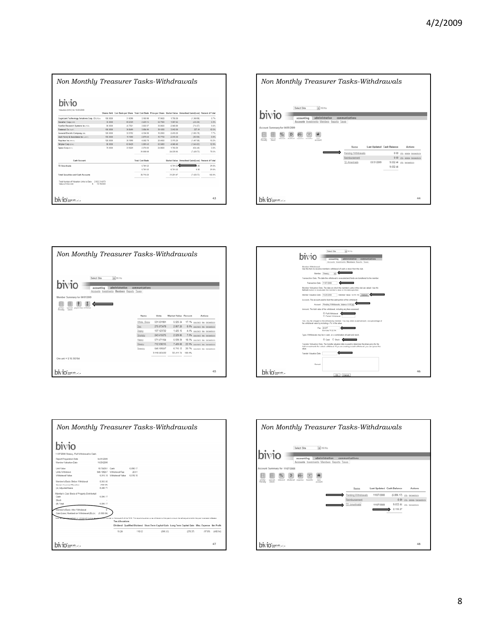| 31,6398<br>69.2329<br>45.7921<br>36 8499<br>32.5792<br>19 1960<br>38 1898<br>63.6429<br>33 9229 | 3 153 98<br>2.423.15<br>3,663.37<br>3.684.99<br>4.104.98<br>2.879.40<br>4 582 78<br>5.091.43 | 17,9500<br>56 7900<br>36,8600<br>39.1200<br>19,2000<br>16.7700<br>26,4600 | 1.795.00<br>1987 65<br>2 948 80<br>3.912.00<br>2.419.20<br>2.515.50<br>3.175.20 | Shares Held Cost Basis per Share Total Cost Basis Price per Share Market Value Unrealized Gain/Lossi Percent of Total<br>(1.368.98)<br>(436.60)<br>(714.57)<br>227.01<br>(1.685, 78)<br>(363.90)<br>(1,407.58) | 5.7%<br>6.3%<br>9.4%<br>12.5%<br>7.7%<br><b>B 0%</b><br>10.2%   |
|-------------------------------------------------------------------------------------------------|----------------------------------------------------------------------------------------------|---------------------------------------------------------------------------|---------------------------------------------------------------------------------|----------------------------------------------------------------------------------------------------------------------------------------------------------------------------------------------------------------|-----------------------------------------------------------------|
|                                                                                                 |                                                                                              |                                                                           |                                                                                 |                                                                                                                                                                                                                |                                                                 |
|                                                                                                 |                                                                                              |                                                                           |                                                                                 |                                                                                                                                                                                                                |                                                                 |
|                                                                                                 |                                                                                              |                                                                           |                                                                                 |                                                                                                                                                                                                                |                                                                 |
|                                                                                                 |                                                                                              |                                                                           |                                                                                 |                                                                                                                                                                                                                |                                                                 |
|                                                                                                 |                                                                                              |                                                                           |                                                                                 |                                                                                                                                                                                                                |                                                                 |
|                                                                                                 |                                                                                              |                                                                           |                                                                                 |                                                                                                                                                                                                                |                                                                 |
|                                                                                                 |                                                                                              |                                                                           |                                                                                 |                                                                                                                                                                                                                |                                                                 |
|                                                                                                 |                                                                                              |                                                                           |                                                                                 |                                                                                                                                                                                                                |                                                                 |
|                                                                                                 |                                                                                              |                                                                           |                                                                                 |                                                                                                                                                                                                                |                                                                 |
|                                                                                                 |                                                                                              |                                                                           |                                                                                 |                                                                                                                                                                                                                |                                                                 |
|                                                                                                 |                                                                                              |                                                                           |                                                                                 |                                                                                                                                                                                                                |                                                                 |
|                                                                                                 |                                                                                              |                                                                           |                                                                                 |                                                                                                                                                                                                                |                                                                 |
|                                                                                                 |                                                                                              | 50,5800                                                                   | 4.045.40                                                                        | (1.045.03)                                                                                                                                                                                                     | 12.9%                                                           |
|                                                                                                 | 2 374 60                                                                                     | 24,8600                                                                   | 1,740.20                                                                        | (634.40)                                                                                                                                                                                                       | 5.6%                                                            |
|                                                                                                 | 31,968.68                                                                                    |                                                                           | 24.539.95                                                                       | (7.428.73)                                                                                                                                                                                                     | 78.5%                                                           |
|                                                                                                 | <b>Total Cost Basis</b>                                                                      |                                                                           |                                                                                 |                                                                                                                                                                                                                |                                                                 |
|                                                                                                 | 6.741.52                                                                                     |                                                                           |                                                                                 | ma na                                                                                                                                                                                                          | 21.6%                                                           |
|                                                                                                 | 6.741.62                                                                                     |                                                                           | 6 741 52                                                                        | 0.00                                                                                                                                                                                                           | 21.6%                                                           |
|                                                                                                 | 38 710 20                                                                                    |                                                                           | 31, 281, 47                                                                     | (7.428.73)                                                                                                                                                                                                     | 100.0%                                                          |
|                                                                                                 |                                                                                              |                                                                           |                                                                                 |                                                                                                                                                                                                                |                                                                 |
|                                                                                                 |                                                                                              |                                                                           |                                                                                 |                                                                                                                                                                                                                |                                                                 |
|                                                                                                 |                                                                                              |                                                                           |                                                                                 |                                                                                                                                                                                                                | Market Value Unrealized GainVLoss) Percent of Total<br>6.741.52 |



|                                                     |                           | Non Monthly Treasurer Tasks-Withdrawals                                                   |              |                             |        |                               |
|-----------------------------------------------------|---------------------------|-------------------------------------------------------------------------------------------|--------------|-----------------------------|--------|-------------------------------|
| bivio                                               | Select Site<br>accounting | M Hi Ho<br>administration<br>communications<br>Accounts Investments Members Reports Taxes |              |                             |        |                               |
| Member Summary for 04/01/2009                       |                           |                                                                                           |              |                             |        |                               |
| payment(s) withdraw<br>printer<br>friendly<br>theat |                           |                                                                                           |              |                             |        |                               |
|                                                     |                           | Name                                                                                      | Units        | <b>Market Value Percent</b> |        | Actions                       |
|                                                     |                           | White, Snow                                                                               | 531.631981   | 5.525.34                    |        | 17.1% painets too panelling   |
|                                                     |                           | Doc                                                                                       | 275 873478   | 2.867.20                    |        | 8.8% gaiment fee, tangestory  |
|                                                     |                           | Dopey                                                                                     | 137.123732   | 1.425.15                    |        | 4.4% games ha tanadies        |
|                                                     |                           | Grumpy                                                                                    | 243.415575   | 2.529.86                    |        | 7.8% games to tenesting       |
|                                                     |                           |                                                                                           |              |                             |        |                               |
|                                                     |                           | Happy                                                                                     | 571.471104   | 5.939.39                    |        | 18.3% payment tea memorians   |
|                                                     |                           | Sleepy                                                                                    | 712 938315   | 7,409.68                    |        | 22.9% paimers fee terrestions |
|                                                     |                           | Sonsta                                                                                    | 646.109247   | 6.715.12                    |        | 20.7% games to zatesting      |
|                                                     |                           |                                                                                           | 3.118.663432 | 32.411.74                   | 100.0% |                               |





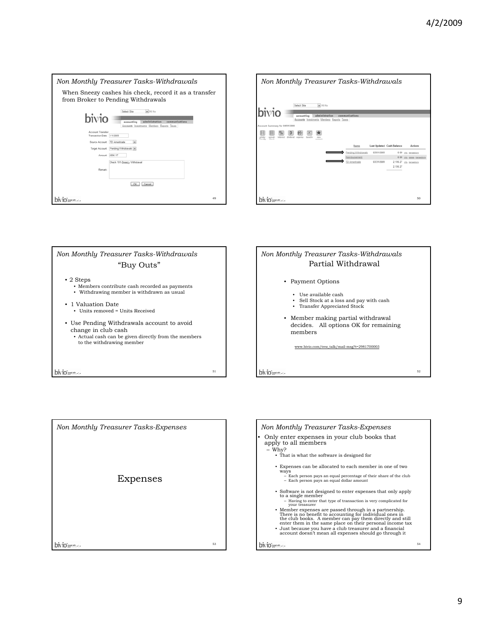| Non Monthly Treasurer Tasks-Withdrawals                                                                                         |
|---------------------------------------------------------------------------------------------------------------------------------|
| When Sneezy cashes his check, record it as a transfer<br>from Broker to Pending Withdrawals                                     |
| Select Site<br>M Hi Ho<br>bi∨io<br>administration<br>communications<br>accounting<br>Accounts Investments Members Reports Taxes |
| <b>Account Transfer</b><br>Transaction Date:<br>1/1/2009                                                                        |
| Source Account: TD Ameritrade                                                                                                   |
| Tarpet Account: Pending Withdrawals [M]                                                                                         |
| 6896.17<br>Amount:                                                                                                              |
| Check 101-Sneezy Withdrawal<br>Remark:                                                                                          |
| Cancel.                                                                                                                         |
| 49                                                                                                                              |

| bivio                                  | Select Site<br>accounting       | M Hi Ho<br>administration<br>Accounts Investments Members Reports Taxes | communications      |            |                           |                               |
|----------------------------------------|---------------------------------|-------------------------------------------------------------------------|---------------------|------------|---------------------------|-------------------------------|
| Account Summary for 04/01/2009         |                                 |                                                                         |                     |            |                           |                               |
| prear<br>interest:<br>friend)<br>sheet | dividend<br>transfer<br>expense | fut or<br>account                                                       | Name                |            | Last Updated Cash Balance | <b>Actions</b>                |
|                                        |                                 |                                                                         | Pending Withdrawals | 03/01/2009 |                           | 0.00 into transmission        |
|                                        |                                 |                                                                         | Reimbursement       |            |                           | 0.00 into palate transactions |
|                                        |                                 |                                                                         | TD Ameritrade       | 03/31/2009 |                           | 2.136.27 into писанием        |
|                                        |                                 |                                                                         |                     |            | 2 136 27                  |                               |
|                                        |                                 |                                                                         |                     |            |                           |                               |



53



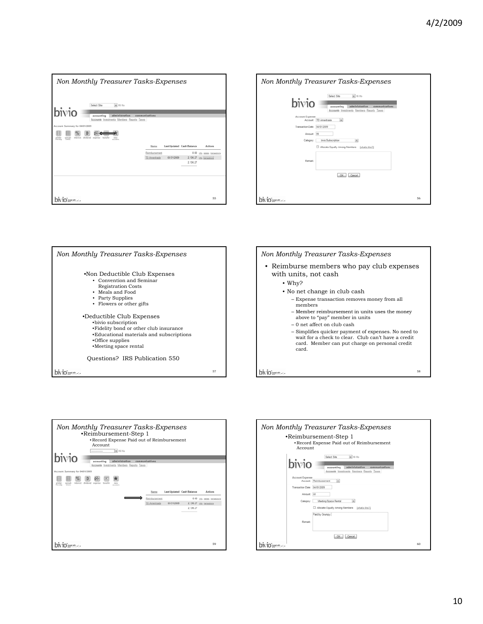

| Non Monthly Treasurer Tasks-Expenses                                                                                            |    |
|---------------------------------------------------------------------------------------------------------------------------------|----|
| Select Site<br>M Hi Ho<br>bivio<br>administration<br>accounting<br>communications<br>Accounts Investments Members Reports Taxes |    |
| <b>Account Expense</b><br>$\left\vert \mathbf{M}\right\vert$<br>Account: TD Ameritrade                                          |    |
| Transaction Date: 04/01/2009                                                                                                    |    |
| Amount: 99                                                                                                                      |    |
| bivio Subscription<br>Category:<br>$\overline{\phantom{a}}$                                                                     |    |
| Allocate Equally Among Members<br>Inhat's this?)                                                                                |    |
| <b>Remark</b>                                                                                                                   |    |
| Cancel.<br>OR                                                                                                                   |    |
|                                                                                                                                 |    |
|                                                                                                                                 | 56 |







58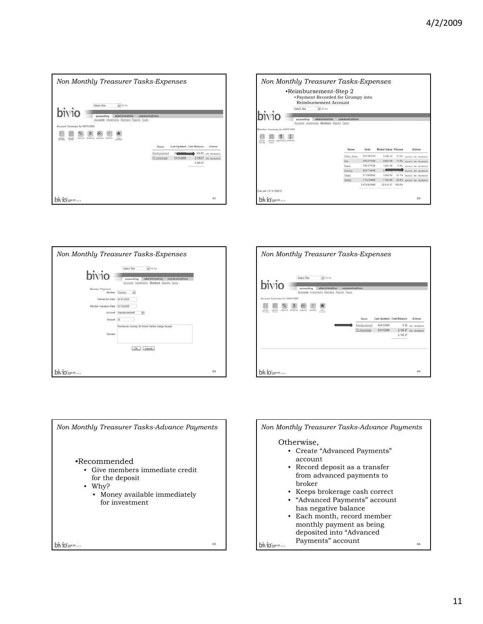

| •Reimbursement-Step 2<br>• Payment Recorded for Grumpy into<br>Reimbursement Account<br>M Hi Ho<br>Salact Site |                |            |                      |                                 |
|----------------------------------------------------------------------------------------------------------------|----------------|------------|----------------------|---------------------------------|
| <b>TVIO</b><br>administration<br>accounting<br>Accounts Investments Members Reports Taxes                      | communications |            |                      |                                 |
| Member Summary for 04/01/2009<br>payment(s) withdraw<br>friendly<br>Sheet                                      |                |            |                      |                                 |
|                                                                                                                | Name           | Units      | Market Value Percent | Actions                         |
|                                                                                                                | White Snow     | 531.781519 | 5.482.41             | 21.5% gayment fee, transactions |
|                                                                                                                | Doc            | 276.471629 | 2.850.29             | 11.2% gayment fee, transactions |
|                                                                                                                | Dopey          | 138.171582 | 1,424.48             | 5.6% gayment fee, transactions  |
|                                                                                                                | Grumpy         | 243.714648 |                      | 2. The contract is intention    |
|                                                                                                                | Happy          | 571 600002 | 5 892 92             | 23.1% payment fee, transactions |
|                                                                                                                |                | 713 214068 | 7.352.89             | 28.8% gaument fee, transactions |
|                                                                                                                | Sleepy         |            |                      |                                 |







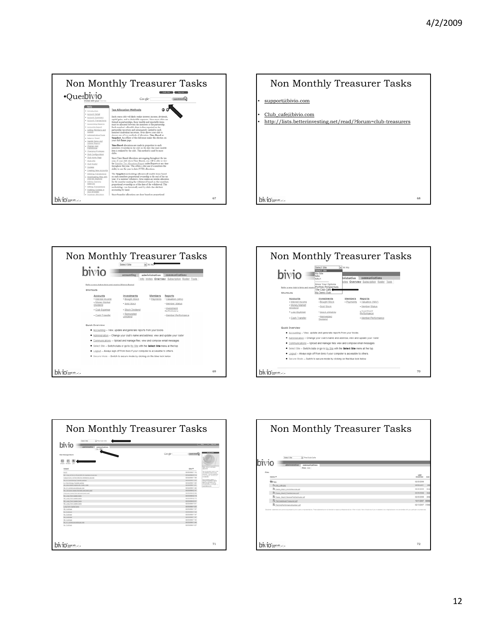